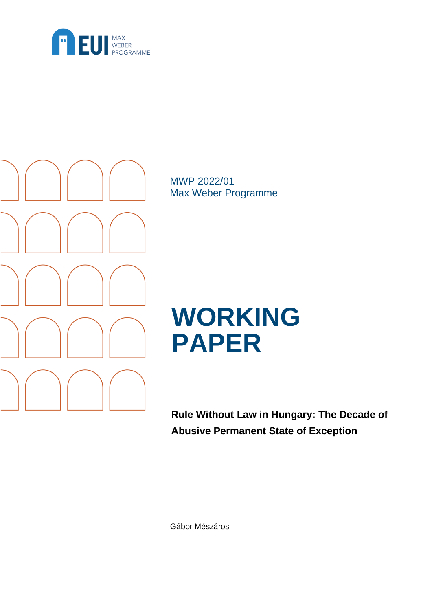



MWP 2022/01 Max Weber Programme

# **WORKING PAPER**

**Rule Without Law in Hungary: The Decade of Abusive Permanent State of Exception**

Gábor Mészáros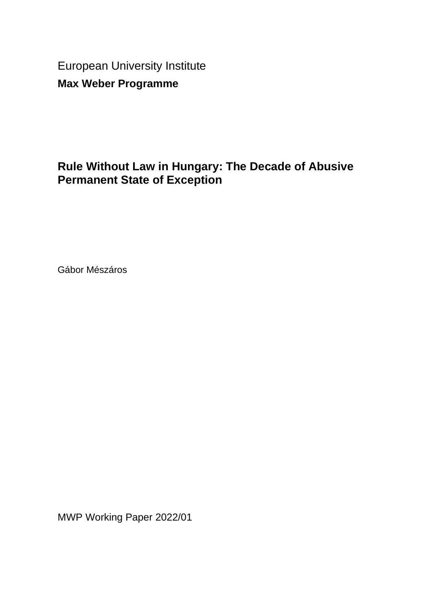European University Institute **Max Weber Programme**

# **Rule Without Law in Hungary: The Decade of Abusive Permanent State of Exception**

Gábor Mészáros

MWP Working Paper 2022/01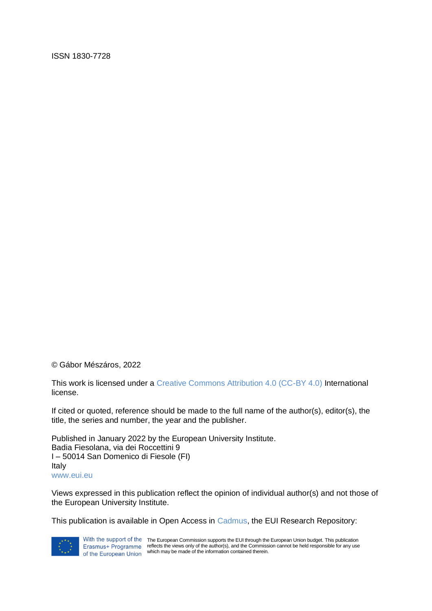ISSN 1830-7728

© Gábor Mészáros, 2022

This work is licensed under a Creative Commons Attribution 4.0 (CC-BY 4.0) International license.

If cited or quoted, reference should be made to the full name of the author(s), editor(s), the title, the series and number, the year and the publisher.

Published in January 2022 by the European University Institute. Badia Fiesolana, via dei Roccettini 9 I – 50014 San Domenico di Fiesole (FI) Italy www.eui.eu

Views expressed in this publication reflect the opinion of individual author(s) and not those of the European University Institute.

This publication is available in Open Access in Cadmus, the EUI Research Repository:



With the support of the The European Commission supports the EUI through the European Union budget. This publication reflects the views only of the author(s), and the Commission cannot be held responsible for any use which may be made of the information contained therein.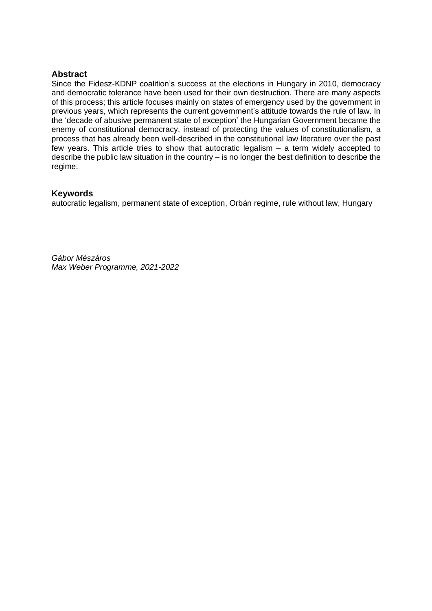#### **Abstract**

Since the Fidesz-KDNP coalition's success at the elections in Hungary in 2010, democracy and democratic tolerance have been used for their own destruction. There are many aspects of this process; this article focuses mainly on states of emergency used by the government in previous years, which represents the current government's attitude towards the rule of law. In the 'decade of abusive permanent state of exception' the Hungarian Government became the enemy of constitutional democracy, instead of protecting the values of constitutionalism, a process that has already been well-described in the constitutional law literature over the past few years. This article tries to show that autocratic legalism – a term widely accepted to describe the public law situation in the country – is no longer the best definition to describe the regime.

#### **Keywords**

autocratic legalism, permanent state of exception, Orbán regime, rule without law, Hungary

*Gábor Mészáros Max Weber Programme, 2021-2022*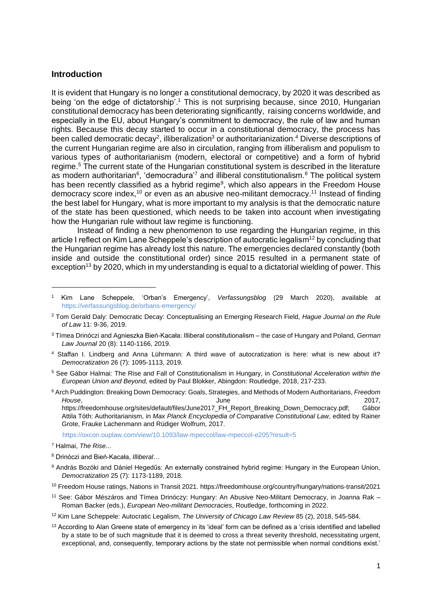#### **Introduction**

It is evident that Hungary is no longer a constitutional democracy, by 2020 it was described as being 'on the edge of dictatorship'.<sup>1</sup> This is not surprising because, since 2010, Hungarian constitutional democracy has been deteriorating significantly, raising concerns worldwide, and especially in the EU, about Hungary's commitment to democracy, the rule of law and human rights. Because this decay started to occur in a constitutional democracy, the process has been called democratic decay<sup>2</sup>, illiberalization<sup>3</sup> or authoritarianization.<sup>4</sup> Diverse descriptions of the current Hungarian regime are also in circulation, ranging from illiberalism and populism to various types of authoritarianism (modern, electoral or competitive) and a form of hybrid regime.<sup>5</sup> The current state of the Hungarian constitutional system is described in the literature as modern authoritarian<sup>6</sup>, 'democradura'<sup>7</sup> and illiberal constitutionalism.<sup>8</sup> The political system has been recently classified as a hybrid regime<sup>9</sup>, which also appears in the Freedom House democracy score index,<sup>10</sup> or even as an abusive neo-militant democracy.<sup>11</sup> Instead of finding the best label for Hungary, what is more important to my analysis is that the democratic nature of the state has been questioned, which needs to be taken into account when investigating how the Hungarian rule without law regime is functioning.

Instead of finding a new phenomenon to use regarding the Hungarian regime, in this article I reflect on Kim Lane Scheppele's description of autocratic legalism<sup>12</sup> by concluding that the Hungarian regime has already lost this nature. The emergencies declared constantly (both inside and outside the constitutional order) since 2015 resulted in a permanent state of exception<sup>13</sup> by 2020, which in my understanding is equal to a dictatorial wielding of power. This

- <sup>4</sup> Staffan I. Lindberg and Anna Lührmann: A third wave of autocratization is here: what is new about it? *Democratization* 26 (7): 1095-1113, 2019.
- <sup>5</sup> See Gábor Halmai: The Rise and Fall of Constitutionalism in Hungary, in *Constitutional Acceleration within the European Union and Beyond,* edited by Paul Blokker, Abingdon: Routledge, 2018, 217-233.
- <sup>6</sup> Arch Puddington: Breaking Down Democracy: Goals, Strategies, and Methods of Modern Authoritarians, *Freedom House***, 2017,** 2017, 2017, 2018, 2017, 2018, 2018, 2018, 2018, 2018, 2018, 2018, 2018, 2018, 2018, 2018, 2018, 2018, 2018, 2018, 2018, 2018, 2018, 2018, 2018, 2018, 2018, 2018, 2018, 2018, 2018, 2018, 2018, 2018, 2018, 2

https://freedomhouse.org/sites/default/files/June2017\_FH\_Report\_Breaking\_Down\_Democracy.pdf; Gábor Attila Tóth: Authoritarianism, in *Max Planck Encyclopedia of Comparative Constitutional Law*, edited by Rainer Grote, Frauke Lachenmann and Rüdiger Wolfrum, 2017.

<https://oxcon.ouplaw.com/view/10.1093/law-mpeccol/law-mpeccol-e205?result=5>

9 András Bozóki and Dániel Hegedűs: An externally constrained hybrid regime: Hungary in the European Union, *Democratization* 25 (7): 1173-1189, 2018.

<sup>1</sup> Kim Lane Scheppele, 'Orban's Emergency', *Verfassungsblog* (29 March 2020), available at <https://verfassungsblog.de/orbans-emergency/>

<sup>2</sup> Tom Gerald Daly: Democratic Decay: Conceptualising an Emerging Research Field, *Hague Journal on the Rule of Law* 11: 9-36, 2019.

<sup>3</sup> Tímea Drinóczi and Agnieszka Bień-Kacała: Illiberal constitutionalism – the case of Hungary and Poland, *German Law Journal* 20 (8): 1140-1166, 2019.

<sup>7</sup> Halmai, *The Rise..*.

<sup>8</sup> Drinóczi and Bień-Kacała, *Illiberal*…

<sup>10</sup> Freedom House ratings, Nations in Transit 2021. https://freedomhouse.org/country/hungary/nations-transit/2021

<sup>11</sup> See: Gábor Mészáros and Tímea Drinóczy: Hungary: An Abusive Neo-Militant Democracy, in Joanna Rak – Roman Backer (eds.), *European Neo-militant Democracies*, Routledge, forthcoming in 2022.

<sup>12</sup> Kim Lane Scheppele: Autocratic Legalism, *The University of Chicago Law Review* 85 (2), 2018, 545-584.

 $13$  According to Alan Greene state of emergency in its 'ideal' form can be defined as a 'crisis identified and labelled by a state to be of such magnitude that it is deemed to cross a threat severity threshold, necessitating urgent, exceptional, and, consequently, temporary actions by the state not permissible when normal conditions exist.'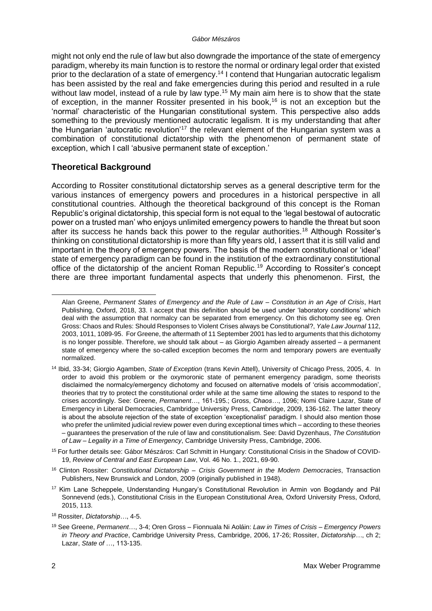#### *Gábor Mészáros*

might not only end the rule of law but also downgrade the importance of the state of emergency paradigm, whereby its main function is to restore the normal or ordinary legal order that existed prior to the declaration of a state of emergency.<sup>14</sup> I contend that Hungarian autocratic legalism has been assisted by the real and fake emergencies during this period and resulted in a rule without law model, instead of a rule by law type.<sup>15</sup> My main aim here is to show that the state of exception, in the manner Rossiter presented in his book,<sup>16</sup> is not an exception but the 'normal' characteristic of the Hungarian constitutional system. This perspective also adds something to the previously mentioned autocratic legalism. It is my understanding that after the Hungarian 'autocratic revolution'<sup>17</sup> the relevant element of the Hungarian system was a combination of constitutional dictatorship with the phenomenon of permanent state of exception, which I call 'abusive permanent state of exception.'

# **Theoretical Background**

According to Rossiter constitutional dictatorship serves as a general descriptive term for the various instances of emergency powers and procedures in a historical perspective in all constitutional countries. Although the theoretical background of this concept is the Roman Republic's original dictatorship, this special form is not equal to the 'legal bestowal of autocratic power on a trusted man' who enjoys unlimited emergency powers to handle the threat but soon after its success he hands back this power to the regular authorities.<sup>18</sup> Although Rossiter's thinking on constitutional dictatorship is more than fifty years old, I assert that it is still valid and important in the theory of emergency powers. The basis of the modern constitutional or 'ideal' state of emergency paradigm can be found in the institution of the extraordinary constitutional office of the dictatorship of the ancient Roman Republic.<sup>19</sup> According to Rossiter's concept there are three important fundamental aspects that underly this phenomenon. First, the

<sup>15</sup> For further details see: Gábor Mészáros: Carl Schmitt in Hungary: Constitutional Crisis in the Shadow of COVID-19, *Review of Central and East European Law*, Vol. 46 No. 1., 2021, 69-90.

Alan Greene, *Permanent States of Emergency and the Rule of Law – Constitution in an Age of Crisis*, Hart Publishing, Oxford, 2018, 33. I accept that this definition should be used under 'laboratory conditions' which deal with the assumption that normalcy can be separated from emergency. On this dichotomy see eg. Oren Gross: Chaos and Rules: Should Responses to Violent Crises always be Constitutional?, *Yale Law Journal* 112, 2003, 1011, 1089-95. For Greene, the aftermath of 11 September 2001 has led to arguments that this dichotomy is no longer possible. Therefore, we should talk about – as Giorgio Agamben already asserted – a permanent state of emergency where the so-called exception becomes the norm and temporary powers are eventually normalized.

<sup>14</sup> Ibid, 33-34; Giorgio Agamben, *State of Exception* (trans Kevin Attell), University of Chicago Press, 2005, 4. In order to avoid this problem or the oxymoronic state of permanent emergency paradigm, some theorists disclaimed the normalcy/emergency dichotomy and focused on alternative models of 'crisis accommodation', theories that try to protect the constitutional order while at the same time allowing the states to respond to the crises accordingly. See: Greene, *Permanent*…, 161-195.; Gross, *Chaos…*, 1096; Nomi Claire Lazar, State of Emergency in Liberal Democracies, Cambridge University Press, Cambridge, 2009, 136-162. The latter theory is about the absolute rejection of the state of exception 'exceptionalist' paradigm. I should also mention those who prefer the unlimited judicial review power even during exceptional times which – according to these theories – guarantees the preservation of the rule of law and constitutionalism. See: David Dyzenhaus, *The Constitution of Law – Legality in a Time of Emergency*, Cambridge University Press, Cambridge, 2006.

<sup>16</sup> Clinton Rossiter: *Constitutional Dictatorship – Crisis Government in the Modern Democracies*, Transaction Publishers, New Brunswick and London, 2009 (originally published in 1948).

<sup>17</sup> Kim Lane Scheppele, Understanding Hungary's Constitutional Revolution in Armin von Bogdandy and Pál Sonnevend (eds.), Constitutional Crisis in the European Constitutional Area, Oxford University Press, Oxford, 2015, 113.

<sup>18</sup> Rossiter, *Dictatorship…*, 4-5.

<sup>19</sup> See Greene, *Permanent*…, 3-4; Oren Gross – Fionnuala Ni Aoláin: *Law in Times of Crisis – Emergency Powers in Theory and Practice*, Cambridge University Press, Cambridge, 2006, 17-26; Rossiter, *Dictatorship…*, ch 2; Lazar, *State of* …, 113-135.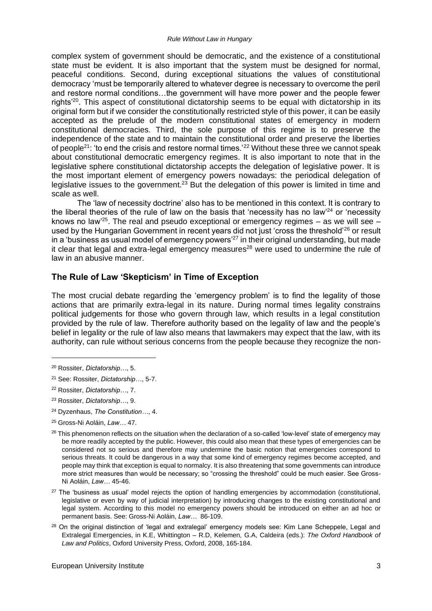complex system of government should be democratic, and the existence of a constitutional state must be evident. It is also important that the system must be designed for normal, peaceful conditions. Second, during exceptional situations the values of constitutional democracy 'must be temporarily altered to whatever degree is necessary to overcome the peril and restore normal conditions…the government will have more power and the people fewer rights'<sup>20</sup>. This aspect of constitutional dictatorship seems to be equal with dictatorship in its original form but if we consider the constitutionally restricted style of this power, it can be easily accepted as the prelude of the modern constitutional states of emergency in modern constitutional democracies. Third, the sole purpose of this regime is to preserve the independence of the state and to maintain the constitutional order and preserve the liberties of people<sup>21</sup>: 'to end the crisis and restore normal times.'<sup>22</sup> Without these three we cannot speak about constitutional democratic emergency regimes. It is also important to note that in the legislative sphere constitutional dictatorship accepts the delegation of legislative power. It is the most important element of emergency powers nowadays: the periodical delegation of legislative issues to the government.<sup>23</sup> But the delegation of this power is limited in time and scale as well.

The 'law of necessity doctrine' also has to be mentioned in this context. It is contrary to the liberal theories of the rule of law on the basis that 'necessity has no law<sup>24</sup> or 'necessity knows no law<sup>25</sup>. The real and pseudo exceptional or emergency regimes – as we will see – used by the Hungarian Government in recent years did not just 'cross the threshold'<sup>26</sup> or result in a 'business as usual model of emergency powers<sup> $27$ </sup> in their original understanding, but made it clear that legal and extra-legal emergency measures<sup>28</sup> were used to undermine the rule of law in an abusive manner.

#### **The Rule of Law 'Skepticism' in Time of Exception**

The most crucial debate regarding the 'emergency problem' is to find the legality of those actions that are primarily extra-legal in its nature. During normal times legality constrains political judgements for those who govern through law, which results in a legal constitution provided by the rule of law. Therefore authority based on the legality of law and the people's belief in legality or the rule of law also means that lawmakers may expect that the law, with its authority, can rule without serious concerns from the people because they recognize the non-

- <sup>23</sup> Rossiter, *Dictatorship…*, 9.
- <sup>24</sup> Dyzenhaus, *The Constitution…*, 4.
- <sup>25</sup> Gross-Ni Aoláin, *Law…* 47.

<sup>20</sup> Rossiter, *Dictatorship…*, 5.

<sup>21</sup> See: Rossiter, *Dictatorship…*, 5-7.

<sup>22</sup> Rossiter, *Dictatorship…*, 7.

 $26$  This phenomenon reflects on the situation when the declaration of a so-called 'low-level' state of emergency may be more readily accepted by the public. However, this could also mean that these types of emergencies can be considered not so serious and therefore may undermine the basic notion that emergencies correspond to serious threats. It could be dangerous in a way that some kind of emergency regimes become accepted, and people may think that exception is equal to normalcy. It is also threatening that some governments can introduce more strict measures than would be necessary; so "crossing the threshold" could be much easier. See Gross-Ni Aoláin, *Law…* 45-46.

 $27$  The 'business as usual' model rejects the option of handling emergencies by accommodation (constitutional, legislative or even by way of judicial interpretation) by introducing changes to the existing constitutional and legal system. According to this model no emergency powers should be introduced on either an ad hoc or permanent basis. See: Gross-Ni Aoláin, *Law…* 86-109.

<sup>&</sup>lt;sup>28</sup> On the original distinction of 'legal and extralegal' emergency models see: Kim Lane Scheppele, Legal and Extralegal Emergencies, in K.E, Whittington – R.D, Kelemen, G.A, Caldeira (eds.): *The Oxford Handbook of Law and Politics*, Oxford University Press, Oxford, 2008, 165-184.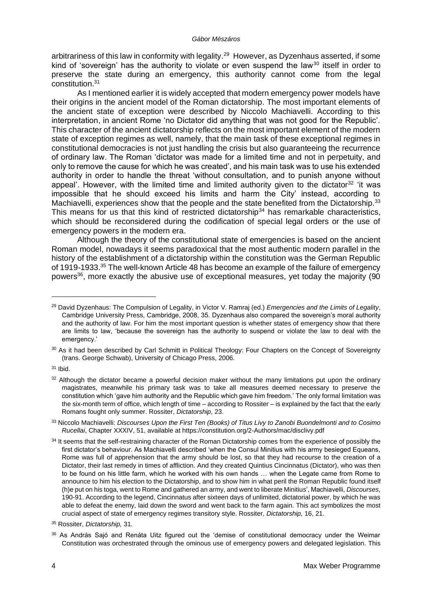arbitrariness of this law in conformity with legality.<sup>29</sup> However, as Dyzenhaus asserted, if some kind of 'sovereign' has the authority to violate or even suspend the law<sup>30</sup> itself in order to preserve the state during an emergency, this authority cannot come from the legal constitution.<sup>31</sup>

As I mentioned earlier it is widely accepted that modern emergency power models have their origins in the ancient model of the Roman dictatorship. The most important elements of the ancient state of exception were described by Niccolo Machiavelli. According to this interpretation, in ancient Rome 'no Dictator did anything that was not good for the Republic'. This character of the ancient dictatorship reflects on the most important element of the modern state of exception regimes as well, namely, that the main task of these exceptional regimes in constitutional democracies is not just handling the crisis but also guaranteeing the recurrence of ordinary law. The Roman 'dictator was made for a limited time and not in perpetuity, and only to remove the cause for which he was created', and his main task was to use his extended authority in order to handle the threat 'without consultation, and to punish anyone without appeal'. However, with the limited time and limited authority given to the dictator<sup>32</sup> 'it was impossible that he should exceed his limits and harm the City' instead, according to Machiavelli, experiences show that the people and the state benefited from the Dictatorship.<sup>33</sup> This means for us that this kind of restricted dictatorship<sup>34</sup> has remarkable characteristics, which should be reconsidered during the codification of special legal orders or the use of emergency powers in the modern era.

Although the theory of the constitutional state of emergencies is based on the ancient Roman model, nowadays it seems paradoxical that the most authentic modern parallel in the history of the establishment of a dictatorship within the constitution was the German Republic of 1919-1933.<sup>35</sup> The well-known Article 48 has become an example of the failure of emergency powers<sup>36</sup>, more exactly the abusive use of exceptional measures, yet today the majority (90

<sup>29</sup> David Dyzenhaus: The Compulsion of Legality, in Victor V. Ramraj (ed.) *Emergencies and the Limits of Legality*, Cambridge University Press, Cambridge, 2008, 35. Dyzenhaus also compared the sovereign's moral authority and the authority of law. For him the most important question is whether states of emergency show that there are limits to law, 'because the sovereign has the authority to suspend or violate the law to deal with the emergency.'

<sup>30</sup> As it had been described by Carl Schmitt in Political Theology: Four Chapters on the Concept of Sovereignty (trans. George Schwab), University of Chicago Press, 2006.

<sup>31</sup> Ibid.

<sup>&</sup>lt;sup>32</sup> Although the dictator became a powerful decision maker without the many limitations put upon the ordinary magistrates, meanwhile his primary task was to take all measures deemed necessary to preserve the constitution which 'gave him authority and the Republic which gave him freedom.' The only formal limitation was the six-month term of office, which length of time – according to Rossiter – is explained by the fact that the early Romans fought only summer. Rossiter, *Dictatorship*, 23.

<sup>33</sup> Niccolo Machiavelli: *Discourses Upon the First Ten (Books) of Titus Livy to Zanobi Buondelmonti and to Cosimo Rucellai*, Chapter XXXIV, 51, available at https://constitution.org/2-Authors/mac/disclivy.pdf

<sup>&</sup>lt;sup>34</sup> It seems that the self-restraining character of the Roman Dictatorship comes from the experience of possibly the first dictator's behaviour. As Machiavelli described 'when the Consul Minitius with his army besieged Equeans, Rome was full of apprehension that the army should be lost, so that they had recourse to the creation of a Dictator, their last remedy in times of affliction. And they created Quintius Cincinnatus (Dictator), who was then to be found on his little farm, which he worked with his own hands … when the Legate came from Rome to announce to him his election to the Dictatorship, and to show him in what peril the Roman Republic found itself (h)e put on his toga, went to Rome and gathered an army, and went to liberate Minitiu*s*', Machiavelli, *Discourses*, 190-91. According to the legend, Cincinnatus after sixteen days of unlimited, dictatorial power, by which he was able to defeat the enemy, laid down the sword and went back to the farm again. This act symbolizes the most crucial aspect of state of emergency regimes transitory style. Rossiter, *Dictatorship,* 16, 21.

<sup>35</sup> Rossiter, *Dictatorship,* 31*.*

<sup>&</sup>lt;sup>36</sup> As András Sajó and Renáta Uitz figured out the 'demise of constitutional democracy under the Weimar Constitution was orchestrated through the ominous use of emergency powers and delegated legislation. This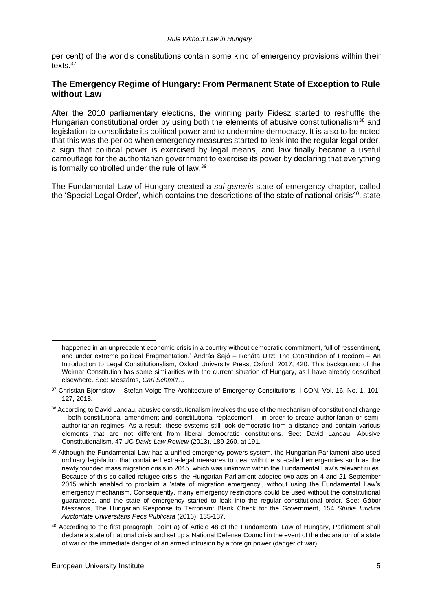per cent) of the world's constitutions contain some kind of emergency provisions within their texts $37$ 

# **The Emergency Regime of Hungary: From Permanent State of Exception to Rule without Law**

After the 2010 parliamentary elections, the winning party Fidesz started to reshuffle the Hungarian constitutional order by using both the elements of abusive constitutionalism<sup>38</sup> and legislation to consolidate its political power and to undermine democracy. It is also to be noted that this was the period when emergency measures started to leak into the regular legal order, a sign that political power is exercised by legal means, and law finally became a useful camouflage for the authoritarian government to exercise its power by declaring that everything is formally controlled under the rule of law.<sup>39</sup>

The Fundamental Law of Hungary created a *sui generis* state of emergency chapter, called the 'Special Legal Order', which contains the descriptions of the state of national crisis<sup>40</sup>, state

happened in an unprecedent economic crisis in a country without democratic commitment, full of ressentiment, and under extreme political Fragmentation.' András Sajó – Renáta Uitz: The Constitution of Freedom – An Introduction to Legal Constitutionalism, Oxford University Press, Oxford, 2017, 420. This background of the Weimar Constitution has some similarities with the current situation of Hungary, as I have already described elsewhere. See: Mészáros, *Carl Schmitt*…

<sup>37</sup> Christian Biornskov - Stefan Voigt: The Architecture of Emergency Constitutions, I-CON, Vol. 16, No. 1, 101-127, 2018.

<sup>38</sup> According to David Landau, abusive constitutionalism involves the use of the mechanism of constitutional change – both constitutional amendment and constitutional replacement – in order to create authoritarian or semiauthoritarian regimes. As a result, these systems still look democratic from a distance and contain various elements that are not different from liberal democratic constitutions. See: David Landau, Abusive Constitutionalism, 47 UC *Davis Law Review* (2013), 189-260, at 191.

<sup>&</sup>lt;sup>39</sup> Although the Fundamental Law has a unified emergency powers system, the Hungarian Parliament also used ordinary legislation that contained extra-legal measures to deal with the so-called emergencies such as the newly founded mass migration crisis in 2015, which was unknown within the Fundamental Law's relevant rules. Because of this so-called refugee crisis, the Hungarian Parliament adopted two acts on 4 and 21 September 2015 which enabled to proclaim a 'state of migration emergency', without using the Fundamental Law's emergency mechanism. Consequently, many emergency restrictions could be used without the constitutional guarantees, and the state of emergency started to leak into the regular constitutional order. See: Gábor Mészáros, The Hungarian Response to Terrorism: Blank Check for the Government, 154 *Studia Iuridica Auctoritate Universitatis Pecs Publicata* (2016), 135-137.

<sup>40</sup> According to the first paragraph, point a) of Article 48 of the Fundamental Law of Hungary, Parliament shall declare a state of national crisis and set up a National Defense Council in the event of the declaration of a state of war or the immediate danger of an armed intrusion by a foreign power (danger of war).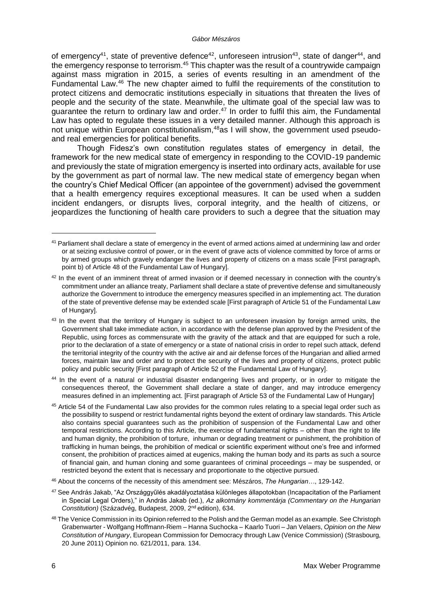of emergency<sup>41</sup>, state of preventive defence<sup>42</sup>, unforeseen intrusion<sup>43</sup>, state of danger<sup>44</sup>, and the emergency response to terrorism.<sup>45</sup> This chapter was the result of a countrywide campaign against mass migration in 2015, a series of events resulting in an amendment of the Fundamental Law.<sup>46</sup> The new chapter aimed to fulfil the requirements of the constitution to protect citizens and democratic institutions especially in situations that threaten the lives of people and the security of the state. Meanwhile, the ultimate goal of the special law was to quarantee the return to ordinary law and order.<sup>47</sup> In order to fulfil this aim, the Fundamental Law has opted to regulate these issues in a very detailed manner. Although this approach is not unique within European constitutionalism,<sup>48</sup>as I will show, the government used pseudoand real emergencies for political benefits.

Though Fidesz's own constitution regulates states of emergency in detail, the framework for the new medical state of emergency in responding to the COVID-19 pandemic and previously the state of migration emergency is inserted into ordinary acts, available for use by the government as part of normal law. The new medical state of emergency began when the country's Chief Medical Officer (an appointee of the government) advised the government that a health emergency requires exceptional measures. It can be used when a sudden incident endangers, or disrupts lives, corporal integrity, and the health of citizens, or jeopardizes the functioning of health care providers to such a degree that the situation may

<sup>44</sup> In the event of a natural or industrial disaster endangering lives and property, or in order to mitigate the consequences thereof, the Government shall declare a state of danger, and may introduce emergency measures defined in an implementing act. [First paragraph of Article 53 of the Fundamental Law of Hungary]

- <sup>45</sup> Article 54 of the Fundamental Law also provides for the common rules relating to a special legal order such as the possibility to suspend or restrict fundamental rights beyond the extent of ordinary law standards. This Article also contains special guarantees such as the prohibition of suspension of the Fundamental Law and other temporal restrictions. According to this Article, the exercise of fundamental rights – other than the right to life and human dignity, the prohibition of torture, inhuman or degrading treatment or punishment, the prohibition of trafficking in human beings, the prohibition of medical or scientific experiment without one's free and informed consent, the prohibition of practices aimed at eugenics, making the human body and its parts as such a source of financial gain, and human cloning and some guarantees of criminal proceedings – may be suspended, or restricted beyond the extent that is necessary and proportionate to the objective pursued.
- <sup>46</sup> About the concerns of the necessity of this amendment see: Mészáros, *The Hungarian…*, 129-142.
- <sup>47</sup> See András Jakab, "Az Országgyűlés akadályoztatása különleges állapotokban (Incapacitation of the Parliament in Special Legal Orders)," in András Jakab (ed.), *Az alkotmány kommentárja (Commentary on the Hungarian Constitution)* (Századvég, Budapest, 2009, 2nd edition), 634.
- 48 The Venice Commission in its Opinion referred to the Polish and the German model as an example. See Christoph Grabenwarter - Wolfgang Hoffmann-Riem – Hanna Suchocka – Kaarlo Tuori – Jan Velaers, *Opinion on the New Constitution of Hungary*, European Commission for Democracy through Law (Venice Commission) (Strasbourg, 20 June 2011) Opinion no. 621/2011, para. 134.

<sup>&</sup>lt;sup>41</sup> Parliament shall declare a state of emergency in the event of armed actions aimed at undermining law and order or at seizing exclusive control of power, or in the event of grave acts of violence committed by force of arms or by armed groups which gravely endanger the lives and property of citizens on a mass scale [First paragraph, point b) of Article 48 of the Fundamental Law of Hungary].

<sup>&</sup>lt;sup>42</sup> In the event of an imminent threat of armed invasion or if deemed necessary in connection with the country's commitment under an alliance treaty, Parliament shall declare a state of preventive defense and simultaneously authorize the Government to introduce the emergency measures specified in an implementing act. The duration of the state of preventive defense may be extended scale [First paragraph of Article 51 of the Fundamental Law of Hungary].

<sup>&</sup>lt;sup>43</sup> In the event that the territory of Hungary is subject to an unforeseen invasion by foreign armed units, the Government shall take immediate action, in accordance with the defense plan approved by the President of the Republic, using forces as commensurate with the gravity of the attack and that are equipped for such a role, prior to the declaration of a state of emergency or a state of national crisis in order to repel such attack, defend the territorial integrity of the country with the active air and air defense forces of the Hungarian and allied armed forces, maintain law and order and to protect the security of the lives and property of citizens, protect public policy and public security [First paragraph of Article 52 of the Fundamental Law of Hungary].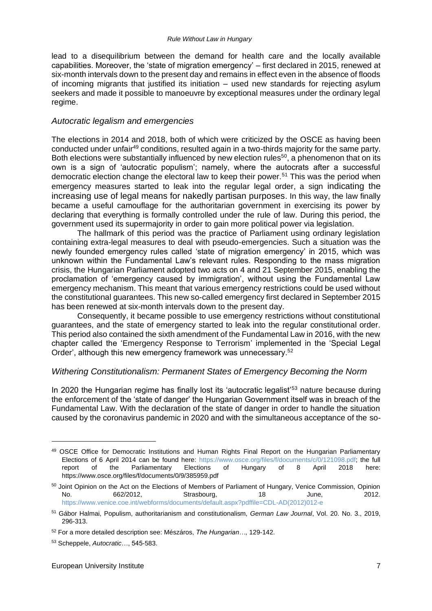lead to a disequilibrium between the demand for health care and the locally available capabilities. Moreover, the 'state of migration emergency' – first declared in 2015, renewed at six-month intervals down to the present day and remains in effect even in the absence of floods of incoming migrants that justified its initiation – used new standards for rejecting asylum seekers and made it possible to manoeuvre by exceptional measures under the ordinary legal regime.

#### *Autocratic legalism and emergencies*

The elections in 2014 and 2018, both of which were criticized by the OSCE as having been conducted under unfair<sup>49</sup> conditions, resulted again in a two-thirds majority for the same party. Both elections were substantially influenced by new election rules<sup>50</sup>, a phenomenon that on its own is a sign of 'autocratic populism'; namely, where the autocrats after a successful democratic election change the electoral law to keep their power.<sup>51</sup> This was the period when emergency measures started to leak into the regular legal order, a sign indicating the increasing use of legal means for nakedly partisan purposes. In this way, the law finally became a useful camouflage for the authoritarian government in exercising its power by declaring that everything is formally controlled under the rule of law. During this period, the government used its supermajority in order to gain more political power via legislation.

The hallmark of this period was the practice of Parliament using ordinary legislation containing extra-legal measures to deal with pseudo-emergencies. Such a situation was the newly founded emergency rules called 'state of migration emergency' in 2015, which was unknown within the Fundamental Law's relevant rules. Responding to the mass migration crisis, the Hungarian Parliament adopted two acts on 4 and 21 September 2015, enabling the proclamation of 'emergency caused by immigration', without using the Fundamental Law emergency mechanism. This meant that various emergency restrictions could be used without the constitutional guarantees. This new so-called emergency first declared in September 2015 has been renewed at six-month intervals down to the present day.

Consequently, it became possible to use emergency restrictions without constitutional guarantees, and the state of emergency started to leak into the regular constitutional order. This period also contained the sixth amendment of the Fundamental Law in 2016, with the new chapter called the 'Emergency Response to Terrorism' implemented in the 'Special Legal Order', although this new emergency framework was unnecessary.<sup>52</sup>

#### *Withering Constitutionalism: Permanent States of Emergency Becoming the Norm*

In 2020 the Hungarian regime has finally lost its 'autocratic legalist'<sup>53</sup> nature because during the enforcement of the 'state of danger' the Hungarian Government itself was in breach of the Fundamental Law. With the declaration of the state of danger in order to handle the situation caused by the coronavirus pandemic in 2020 and with the simultaneous acceptance of the so-

<sup>49</sup> OSCE Office for Democratic Institutions and Human Rights Final Report on the Hungarian Parliamentary Elections of 6 April 2014 can be found here: [https://www.osce.org/files/f/documents/c/0/121098.pdf;](https://www.osce.org/files/f/documents/c/0/121098.pdf) the full report of the Parliamentary Elections of Hungary of 8 April 2018 here: https://www.osce.org/files/f/documents/0/9/385959.pdf

<sup>&</sup>lt;sup>50</sup> Joint Opinion on the Act on the Elections of Members of Parliament of Hungary, Venice Commission, Opinion No. 662/2012, Strasbourg, 18 June, 2012. [https://www.venice.coe.int/webforms/documents/default.aspx?pdffile=CDL-AD\(2012\)012-e](https://www.venice.coe.int/webforms/documents/default.aspx?pdffile=CDL-AD(2012)012-e)

<sup>51</sup> Gábor Halmai, Populism, authoritarianism and constitutionalism, *German Law Journal*, Vol. 20. No. 3., 2019, 296-313.

<sup>52</sup> For a more detailed description see: Mészáros, *The Hungarian…,* 129-142.

<sup>53</sup> Scheppele, *Autocratic*…, 545-583.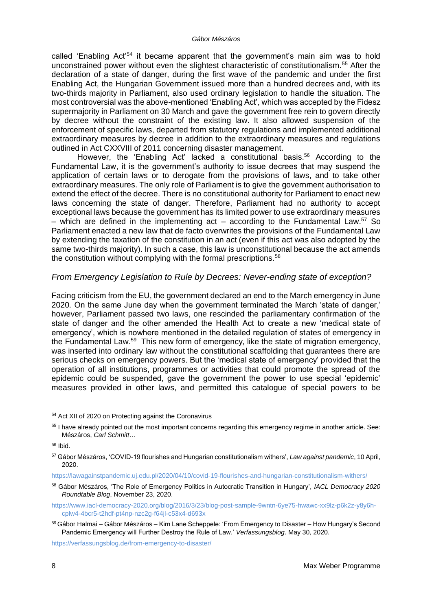called 'Enabling Act'<sup>54</sup> it became apparent that the government's main aim was to hold unconstrained power without even the slightest characteristic of constitutionalism.<sup>55</sup> After the declaration of a state of danger, during the first wave of the pandemic and under the first Enabling Act, the Hungarian Government issued more than a hundred decrees and, with its two-thirds majority in Parliament, also used ordinary legislation to handle the situation. The most controversial was the above-mentioned 'Enabling Act', which was accepted by the Fidesz supermajority in Parliament on 30 March and gave the government free rein to govern directly by decree without the constraint of the existing law. It also allowed suspension of the enforcement of specific laws, departed from statutory regulations and implemented additional extraordinary measures by decree in addition to the extraordinary measures and regulations outlined in Act CXXVIII of 2011 concerning disaster management.

However, the 'Enabling Act' lacked a constitutional basis.<sup>56</sup> According to the Fundamental Law, it is the government's authority to issue decrees that may suspend the application of certain laws or to derogate from the provisions of laws, and to take other extraordinary measures. The only role of Parliament is to give the government authorisation to extend the effect of the decree. There is no constitutional authority for Parliament to enact new laws concerning the state of danger. Therefore, Parliament had no authority to accept exceptional laws because the government has its limited power to use extraordinary measures – which are defined in the implementing act – according to the Fundamental Law.<sup>57</sup> So Parliament enacted a new law that de facto overwrites the provisions of the Fundamental Law by extending the taxation of the constitution in an act (even if this act was also adopted by the same two-thirds majority). In such a case, this law is unconstitutional because the act amends the constitution without complying with the formal prescriptions.<sup>58</sup>

#### *From Emergency Legislation to Rule by Decrees: Never-ending state of exception?*

Facing criticism from the EU, the government declared an end to the March emergency in June 2020*.* On the same June day when the government terminated the March 'state of danger,' however, Parliament passed two laws, one rescinded the parliamentary confirmation of the state of danger and the other amended the Health Act to create a new 'medical state of emergency', which is nowhere mentioned in the detailed regulation of states of emergency in the Fundamental Law.<sup>59</sup> This new form of emergency, like the state of migration emergency, was inserted into ordinary law without the constitutional scaffolding that guarantees there are serious checks on emergency powers. But the 'medical state of emergency' provided that the operation of all institutions, programmes or activities that could promote the spread of the epidemic could be suspended, gave the government the power to use special 'epidemic' measures provided in other laws, and permitted this catalogue of special powers to be

<sup>54</sup> Act XII of 2020 on Protecting against the Coronavirus

<sup>55</sup> I have already pointed out the most important concerns regarding this emergency regime in another article. See: Mészáros, *Carl Schmitt*…

<sup>56</sup> Ibid.

<sup>57</sup> Gábor Mészáros, 'COVID-19 flourishes and Hungarian constitutionalism withers', *Law against pandemic*, 10 April, 2020.

<https://lawagainstpandemic.uj.edu.pl/2020/04/10/covid-19-flourishes-and-hungarian-constitutionalism-withers/>

<sup>58</sup> Gábor Mészáros, 'The Role of Emergency Politics in Autocratic Transition in Hungary', *IACL Democracy 2020 Roundtable Blog*, November 23, 2020.

[https://www.iacl-democracy-2020.org/blog/2016/3/23/blog-post-sample-9wntn-6ye75-hwawc-xx9lz-p6k2z-y8y6h](https://www.iacl-democracy-2020.org/blog/2016/3/23/blog-post-sample-9wntn-6ye75-hwawc-xx9lz-p6k2z-y8y6h-cplw4-4bcr5-t2hdf-pt4np-nzc2g-f64jl-c53x4-d693x)[cplw4-4bcr5-t2hdf-pt4np-nzc2g-f64jl-c53x4-d693x](https://www.iacl-democracy-2020.org/blog/2016/3/23/blog-post-sample-9wntn-6ye75-hwawc-xx9lz-p6k2z-y8y6h-cplw4-4bcr5-t2hdf-pt4np-nzc2g-f64jl-c53x4-d693x)

<sup>&</sup>lt;sup>59</sup> Gábor Halmai – Gábor Mészáros – Kim Lane Scheppele: 'From Emergency to Disaster – How Hungary's Second Pandemic Emergency will Further Destroy the Rule of Law.' *Verfassungsblog*. May 30, 2020.

<https://verfassungsblog.de/from-emergency-to-disaster/>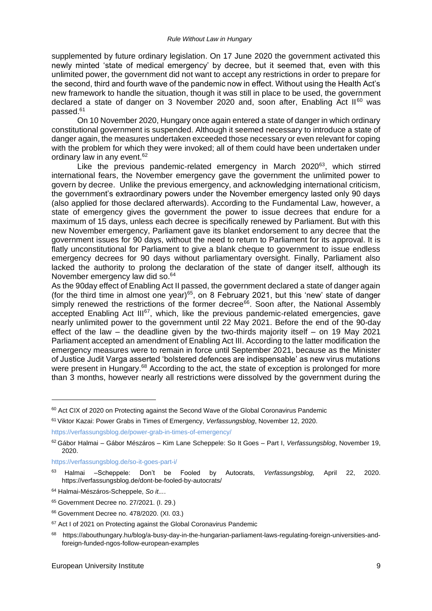supplemented by future ordinary legislation. On 17 June 2020 the government activated this newly minted 'state of medical emergency' by decree, but it seemed that, even with this unlimited power, the government did not want to accept any restrictions in order to prepare for the second, third and fourth wave of the pandemic now in effect. Without using the Health Act's new framework to handle the situation, though it was still in place to be used, the government declared a state of danger on 3 November 2020 and, soon after, Enabling Act  $II^{60}$  was passed.<sup>61</sup>

On 10 November 2020, Hungary once again entered a state of danger in which ordinary constitutional government is suspended. Although it seemed necessary to introduce a state of danger again, the measures undertaken exceeded those necessary or even relevant for coping with the problem for which they were invoked; all of them could have been undertaken under ordinary law in any event.<sup>62</sup>

Like the previous pandemic-related emergency in March 2020<sup>63</sup>, which stirred international fears, the November emergency gave the government the unlimited power to govern by decree. Unlike the previous emergency, and acknowledging international criticism, the government's extraordinary powers under the November emergency lasted only 90 days (also applied for those declared afterwards). According to the Fundamental Law, however, a state of emergency gives the government the power to issue decrees that endure for a maximum of 15 days, unless each decree is specifically renewed by Parliament. But with this new November emergency, Parliament gave its blanket endorsement to any decree that the government issues for 90 days, without the need to return to Parliament for its approval. It is flatly unconstitutional for Parliament to give a blank cheque to government to issue endless emergency decrees for 90 days without parliamentary oversight. Finally, Parliament also lacked the authority to prolong the declaration of the state of danger itself, although its November emergency law did so.<sup>64</sup>

As the 90day effect of Enabling Act II passed, the government declared a state of danger again (for the third time in almost one year)<sup>65</sup>, on 8 February 2021, but this 'new' state of danger simply renewed the restrictions of the former decree<sup>66</sup>. Soon after, the National Assembly accepted Enabling Act III<sup>67</sup>, which, like the previous pandemic-related emergencies, gave nearly unlimited power to the government until 22 May 2021. Before the end of the 90-day effect of the law – the deadline given by the two-thirds majority itself – on 19 May 2021 Parliament accepted an amendment of Enabling Act III. According to the latter modification the emergency measures were to remain in force until September 2021, because as the Minister of Justice Judit Varga asserted 'bolstered defences are indispensable' as new virus mutations were present in Hungary.<sup>68</sup> According to the act, the state of exception is prolonged for more than 3 months, however nearly all restrictions were dissolved by the government during the

<sup>&</sup>lt;sup>60</sup> Act CIX of 2020 on Protecting against the Second Wave of the Global Coronavirus Pandemic

<sup>61</sup> Viktor Kazai: Power Grabs in Times of Emergency, *Verfassungsblog*, November 12, 2020.

<https://verfassungsblog.de/power-grab-in-times-of-emergency/>

<sup>62</sup> Gábor Halmai – Gábor Mészáros – Kim Lane Scheppele: So It Goes – Part I, *Verfassungsblog*, November 19, 2020.

<https://verfassungsblog.de/so-it-goes-part-i/>

<sup>63</sup> Halmai –Scheppele: Don't be Fooled by Autocrats, *Verfassungsblog,* April 22, 2020. https://verfassungsblog.de/dont-be-fooled-by-autocrats/

<sup>64</sup> Halmai-Mészáros-Scheppele, *So it...*.

<sup>65</sup> Government Decree no. 27/2021. (I. 29.)

<sup>66</sup> Government Decree no. 478/2020. (XI. 03.)

<sup>&</sup>lt;sup>67</sup> Act I of 2021 on Protecting against the Global Coronavirus Pandemic

<sup>68</sup> https://abouthungary.hu/blog/a-busy-day-in-the-hungarian-parliament-laws-regulating-foreign-universities-andforeign-funded-ngos-follow-european-examples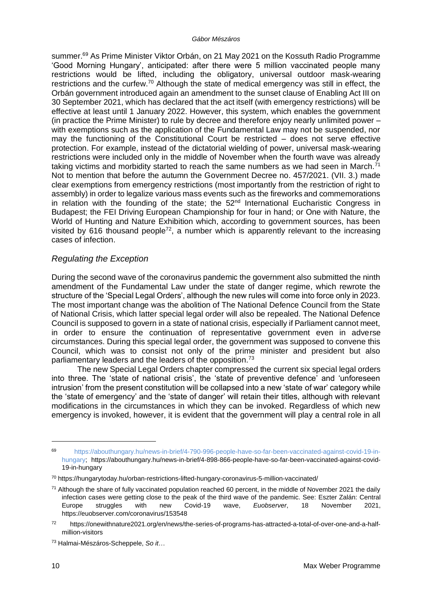summer.<sup>69</sup> As Prime Minister Viktor Orbán, on 21 May 2021 on the Kossuth Radio Programme 'Good Morning Hungary', anticipated: after there were 5 million vaccinated people many restrictions would be lifted, including the obligatory, universal outdoor mask-wearing restrictions and the curfew.<sup>70</sup> Although the state of medical emergency was still in effect, the Orbán government introduced again an amendment to the sunset clause of Enabling Act III on 30 September 2021, which has declared that the act itself (with emergency restrictions) will be effective at least until 1 January 2022. However, this system, which enables the government (in practice the Prime Minister) to rule by decree and therefore enjoy nearly unlimited power – with exemptions such as the application of the Fundamental Law may not be suspended, nor may the functioning of the Constitutional Court be restricted – does not serve effective protection. For example, instead of the dictatorial wielding of power, universal mask-wearing restrictions were included only in the middle of November when the fourth wave was already taking victims and morbidity started to reach the same numbers as we had seen in March. $<sup>71</sup>$ </sup> Not to mention that before the autumn the Government Decree no. 457/2021. (VII. 3.) made clear exemptions from emergency restrictions (most importantly from the restriction of right to assembly) in order to legalize various mass events such as the fireworks and commemorations in relation with the founding of the state; the  $52<sup>nd</sup>$  International Eucharistic Congress in Budapest; the FEI Driving European Championship for four in hand; or One with Nature, the World of Hunting and Nature Exhibition which, according to government sources, has been visited by 616 thousand people<sup>72</sup>, a number which is apparently relevant to the increasing cases of infection.

# *Regulating the Exception*

During the second wave of the coronavirus pandemic the government also submitted the ninth amendment of the Fundamental Law under the state of danger regime, which rewrote the structure of the 'Special Legal Orders', although the new rules will come into force only in 2023. The most important change was the abolition of The National Defence Council from the State of National Crisis, which latter special legal order will also be repealed. The National Defence Council is supposed to govern in a state of national crisis, especially if Parliament cannot meet, in order to ensure the continuation of representative government even in adverse circumstances. During this special legal order, the government was supposed to convene this Council, which was to consist not only of the prime minister and president but also parliamentary leaders and the leaders of the opposition.<sup>73</sup>

The new Special Legal Orders chapter compressed the current six special legal orders into three. The 'state of national crisis', the 'state of preventive defence' and 'unforeseen intrusion' from the present constitution will be collapsed into a new 'state of war' category while the 'state of emergency' and the 'state of danger' will retain their titles, although with relevant modifications in the circumstances in which they can be invoked. Regardless of which new emergency is invoked, however, it is evident that the government will play a central role in all

<sup>69</sup> [https://abouthungary.hu/news-in-brief/4-790-996-people-have-so-far-been-vaccinated-against-covid-19-in](https://abouthungary.hu/news-in-brief/4-790-996-people-have-so-far-been-vaccinated-against-covid-19-in-hungary)[hungary;](https://abouthungary.hu/news-in-brief/4-790-996-people-have-so-far-been-vaccinated-against-covid-19-in-hungary) https://abouthungary.hu/news-in-brief/4-898-866-people-have-so-far-been-vaccinated-against-covid-19-in-hungary

<sup>70</sup> https://hungarytoday.hu/orban-restrictions-lifted-hungary-coronavirus-5-million-vaccinated/

 $71$  Although the share of fully vaccinated population reached 60 percent, in the middle of November 2021 the daily infection cases were getting close to the peak of the third wave of the pandemic. See: Eszter Zalán: Central Europe struggles with new Covid-19 wave, *Euobserver*, 18 November 2021, https://euobserver.com/coronavirus/153548

<sup>72</sup> https://onewithnature2021.org/en/news/the-series-of-programs-has-attracted-a-total-of-over-one-and-a-halfmillion-visitors

<sup>73</sup> Halmai-Mészáros-Scheppele, *So it*…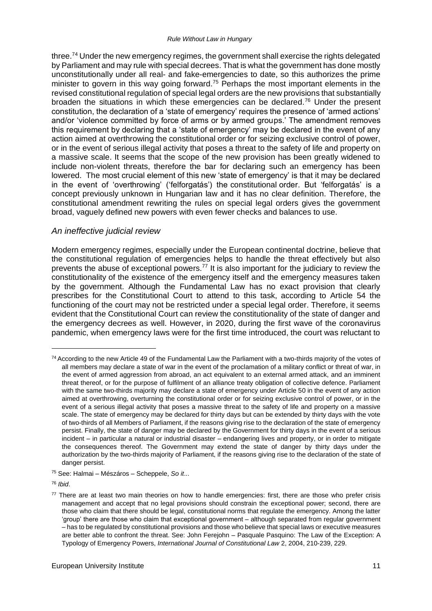#### *Rule Without Law in Hungary*

three.<sup>74</sup> Under the new emergency regimes, the government shall exercise the rights delegated by Parliament and may rule with special decrees. That is what the government has done mostly unconstitutionally under all real- and fake-emergencies to date, so this authorizes the prime minister to govern in this way going forward.<sup>75</sup> Perhaps the most important elements in the revised constitutional regulation of special legal orders are the new provisions that substantially broaden the situations in which these emergencies can be declared.<sup>76</sup> Under the present constitution, the declaration of a 'state of emergency' requires the presence of 'armed actions' and/or 'violence committed by force of arms or by armed groups.' The amendment removes this requirement by declaring that a 'state of emergency' may be declared in the event of any action aimed at overthrowing the constitutional order or for seizing exclusive control of power, or in the event of serious illegal activity that poses a threat to the safety of life and property on a massive scale. It seems that the scope of the new provision has been greatly widened to include non-violent threats, therefore the bar for declaring such an emergency has been lowered. The most crucial element of this new 'state of emergency' is that it may be declared in the event of 'overthrowing' ('felforgatás') the constitutional order. But 'felforgatás' is a concept previously unknown in Hungarian law and it has no clear definition. Therefore, the constitutional amendment rewriting the rules on special legal orders gives the government broad, vaguely defined new powers with even fewer checks and balances to use.

#### *An ineffective judicial review*

Modern emergency regimes, especially under the European continental doctrine, believe that the constitutional regulation of emergencies helps to handle the threat effectively but also prevents the abuse of exceptional powers.<sup>77</sup> It is also important for the judiciary to review the constitutionality of the existence of the emergency itself and the emergency measures taken by the government. Although the Fundamental Law has no exact provision that clearly prescribes for the Constitutional Court to attend to this task, according to Article 54 the functioning of the court may not be restricted under a special legal order. Therefore, it seems evident that the Constitutional Court can review the constitutionality of the state of danger and the emergency decrees as well. However, in 2020, during the first wave of the coronavirus pandemic, when emergency laws were for the first time introduced, the court was reluctant to

<sup>74</sup> According to the new Article 49 of the Fundamental Law the Parliament with a two-thirds majority of the votes of all members may declare a state of war in the event of the proclamation of a military conflict or threat of war, in the event of armed aggression from abroad, an act equivalent to an external armed attack, and an imminent threat thereof, or for the purpose of fulfilment of an alliance treaty obligation of collective defence. Parliament with the same two-thirds majority may declare a state of emergency under Article 50 in the event of any action aimed at overthrowing, overturning the constitutional order or for seizing exclusive control of power, or in the event of a serious illegal activity that poses a massive threat to the safety of life and property on a massive scale. The state of emergency may be declared for thirty days but can be extended by thirty days with the vote of two-thirds of all Members of Parliament, if the reasons giving rise to the declaration of the state of emergency persist. Finally, the state of danger may be declared by the Government for thirty days in the event of a serious incident – in particular a natural or industrial disaster – endangering lives and property, or in order to mitigate the consequences thereof. The Government may extend the state of danger by thirty days under the authorization by the two-thirds majority of Parliament, if the reasons giving rise to the declaration of the state of danger persist.

<sup>75</sup> See: Halmai – Mészáros – Scheppele, *So it*...

<sup>76</sup> *Ibid*.

 $77$  There are at least two main theories on how to handle emergencies: first, there are those who prefer crisis management and accept that no legal provisions should constrain the exceptional power; second, there are those who claim that there should be legal, constitutional norms that regulate the emergency. Among the latter 'group' there are those who claim that exceptional government – although separated from regular government – has to be regulated by constitutional provisions and those who believe that special laws or executive measures are better able to confront the threat. See: John Ferejohn – Pasquale Pasquino: The Law of the Exception: A Typology of Emergency Powers, *International Journal of Constitutional Law* 2, 2004, 210-239, 229.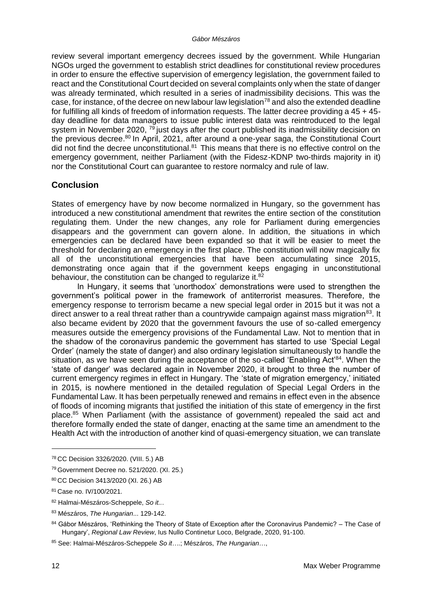#### *Gábor Mészáros*

review several important emergency decrees issued by the government. While Hungarian NGOs urged the government to establish strict deadlines for constitutional review procedures in order to ensure the effective supervision of emergency legislation, the government failed to react and the Constitutional Court decided on several complaints only when the state of danger was already terminated, which resulted in a series of inadmissibility decisions. This was the case, for instance, of the decree on new labour law legislation<sup>78</sup> and also the extended deadline for fulfilling all kinds of freedom of information requests. The latter decree providing a 45 + 45 day deadline for data managers to issue public interest data was reintroduced to the legal system in November 2020,  $^{79}$  just days after the court published its inadmissibility decision on the previous decree.<sup>80</sup> In April, 2021, after around a one-year saga, the Constitutional Court did not find the decree unconstitutional. $81$  This means that there is no effective control on the emergency government, neither Parliament (with the Fidesz-KDNP two-thirds majority in it) nor the Constitutional Court can guarantee to restore normalcy and rule of law.

# **Conclusion**

States of emergency have by now become normalized in Hungary, so the government has introduced a new constitutional amendment that rewrites the entire section of the constitution regulating them. Under the new changes, any role for Parliament during emergencies disappears and the government can govern alone. In addition, the situations in which emergencies can be declared have been expanded so that it will be easier to meet the threshold for declaring an emergency in the first place. The constitution will now magically fix all of the unconstitutional emergencies that have been accumulating since 2015, demonstrating once again that if the government keeps engaging in unconstitutional behaviour, the constitution can be changed to regularize it.<sup>82</sup>

In Hungary, it seems that 'unorthodox' demonstrations were used to strengthen the government's political power in the framework of antiterrorist measures. Therefore, the emergency response to terrorism became a new special legal order in 2015 but it was not a direct answer to a real threat rather than a countrywide campaign against mass migration<sup>83</sup>. It also became evident by 2020 that the government favours the use of so-called emergency measures outside the emergency provisions of the Fundamental Law. Not to mention that in the shadow of the coronavirus pandemic the government has started to use 'Special Legal Order' (namely the state of danger) and also ordinary legislation simultaneously to handle the situation, as we have seen during the acceptance of the so-called 'Enabling Act'<sup>84</sup>. When the 'state of danger' was declared again in November 2020, it brought to three the number of current emergency regimes in effect in Hungary. The 'state of migration emergency,' initiated in 2015, is nowhere mentioned in the detailed regulation of Special Legal Orders in the Fundamental Law. It has been perpetually renewed and remains in effect even in the absence of floods of incoming migrants that justified the initiation of this state of emergency in the first place.<sup>85</sup> When Parliament (with the assistance of government) repealed the said act and therefore formally ended the state of danger, enacting at the same time an amendment to the Health Act with the introduction of another kind of quasi-emergency situation, we can translate

<sup>78</sup> CC Decision 3326/2020. (VIII. 5.) AB

<sup>79</sup> Government Decree no. 521/2020. (XI. 25.)

<sup>80</sup> CC Decision 3413/2020 (XI. 26.) AB

<sup>81</sup> Case no. IV/100/2021.

<sup>82</sup> Halmai-Mészáros-Scheppele, *So it..*.

<sup>83</sup> Mészáros, *The Hungarian*... 129-142.

<sup>84</sup> Gábor Mészáros, 'Rethinking the Theory of State of Exception after the Coronavirus Pandemic? – The Case of Hungary', *Regional Law Review*, Ius Nullo Continetur Loco, Belgrade, 2020, 91-100.

<sup>85</sup> See: Halmai-Mészáros-Scheppele *So it…*.; Mészáros, *The Hungarian*…,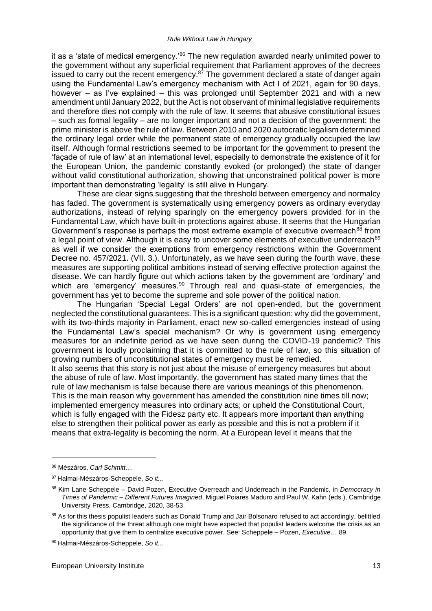it as a 'state of medical emergency.<sup>'86</sup> The new regulation awarded nearly unlimited power to the government without any superficial requirement that Parliament approves of the decrees issued to carry out the recent emergency. $87$  The government declared a state of danger again using the Fundamental Law's emergency mechanism with Act I of 2021, again for 90 days, however – as I've explained – this was prolonged until September 2021 and with a new amendment until January 2022, but the Act is not observant of minimal legislative requirements and therefore dies not comply with the rule of law. It seems that abusive constitutional issues – such as formal legality – are no longer important and not a decision of the government: the prime minister is above the rule of law. Between 2010 and 2020 autocratic legalism determined the ordinary legal order while the permanent state of emergency gradually occupied the law itself. Although formal restrictions seemed to be important for the government to present the 'façade of rule of law' at an international level, especially to demonstrate the existence of it for the European Union, the pandemic constantly evoked (or prolonged) the state of danger without valid constitutional authorization, showing that unconstrained political power is more important than demonstrating 'legality' is still alive in Hungary.

These are clear signs suggesting that the threshold between emergency and normalcy has faded. The government is systematically using emergency powers as ordinary everyday authorizations, instead of relying sparingly on the emergency powers provided for in the Fundamental Law, which have built-in protections against abuse. It seems that the Hungarian Government's response is perhaps the most extreme example of executive overreach<sup>88</sup> from a legal point of view. Although it is easy to uncover some elements of executive underreach<sup>89</sup> as well if we consider the exemptions from emergency restrictions within the Government Decree no. 457/2021. (VII. 3.). Unfortunately, as we have seen during the fourth wave, these measures are supporting political ambitions instead of serving effective protection against the disease. We can hardly figure out which actions taken by the government are 'ordinary' and which are 'emergency' measures.<sup>90</sup> Through real and quasi-state of emergencies, the government has yet to become the supreme and sole power of the political nation.

The Hungarian 'Special Legal Orders' are not open-ended, but the government neglected the constitutional guarantees. This is a significant question: why did the government, with its two-thirds majority in Parliament, enact new so-called emergencies instead of using the Fundamental Law's special mechanism? Or why is government using emergency measures for an indefinite period as we have seen during the COVID-19 pandemic? This government is loudly proclaiming that it is committed to the rule of law, so this situation of growing numbers of unconstitutional states of emergency must be remedied.

It also seems that this story is not just about the misuse of emergency measures but about the abuse of rule of law. Most importantly, the government has stated many times that the rule of law mechanism is false because there are various meanings of this phenomenon. This is the main reason why government has amended the constitution nine times till now; implemented emergency measures into ordinary acts; or upheld the Constitutional Court, which is fully engaged with the Fidesz party etc. It appears more important than anything else to strengthen their political power as early as possible and this is not a problem if it means that extra-legality is becoming the norm. At a European level it means that the

<sup>86</sup> Mészáros, *Carl Schmitt*…

<sup>87</sup> Halmai-Mészáros-Scheppele, *So it...*

<sup>88</sup> Kim Lane Scheppele – David Pozen, Executive Overreach and Underreach in the Pandemic, in *Democracy in Times of Pandemic – Different Futures Imagined*, Miguel Poiares Maduro and Paul W. Kahn (eds.), Cambridge University Press, Cambridge, 2020, 38-53.

<sup>89</sup> As for this thesis populist leaders such as Donald Trump and Jair Bolsonaro refused to act accordingly, belittled the significance of the threat although one might have expected that populist leaders welcome the crisis as an opportunity that give them to centralize executive power. See: Scheppele – Pozen, *Executive*… 89.

<sup>90</sup> Halmai-Mészáros-Scheppele, *So it...*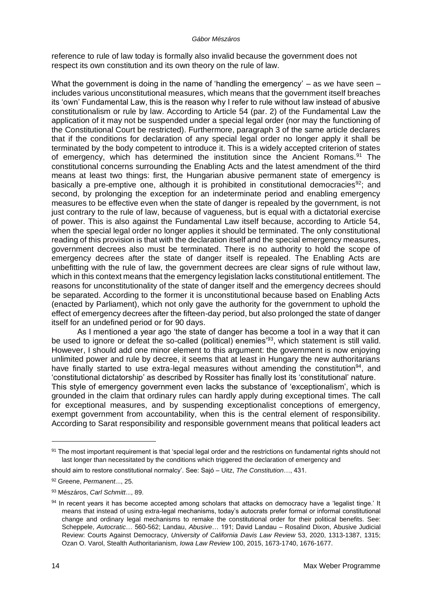#### *Gábor Mészáros*

reference to rule of law today is formally also invalid because the government does not respect its own constitution and its own theory on the rule of law.

What the government is doing in the name of 'handling the emergency'  $-$  as we have seen  $$ includes various unconstitutional measures, which means that the government itself breaches its 'own' Fundamental Law, this is the reason why I refer to rule without law instead of abusive constitutionalism or rule by law. According to Article 54 (par. 2) of the Fundamental Law the application of it may not be suspended under a special legal order (nor may the functioning of the Constitutional Court be restricted). Furthermore, paragraph 3 of the same article declares that if the conditions for declaration of any special legal order no longer apply it shall be terminated by the body competent to introduce it. This is a widely accepted criterion of states of emergency, which has determined the institution since the Ancient Romans.<sup>91</sup> The constitutional concerns surrounding the Enabling Acts and the latest amendment of the third means at least two things: first, the Hungarian abusive permanent state of emergency is basically a pre-emptive one, although it is prohibited in constitutional democracies<sup>92</sup>; and second, by prolonging the exception for an indeterminate period and enabling emergency measures to be effective even when the state of danger is repealed by the government, is not just contrary to the rule of law, because of vagueness, but is equal with a dictatorial exercise of power. This is also against the Fundamental Law itself because, according to Article 54, when the special legal order no longer applies it should be terminated. The only constitutional reading of this provision is that with the declaration itself and the special emergency measures, government decrees also must be terminated. There is no authority to hold the scope of emergency decrees after the state of danger itself is repealed. The Enabling Acts are unbefitting with the rule of law, the government decrees are clear signs of rule without law, which in this context means that the emergency legislation lacks constitutional entitlement. The reasons for unconstitutionality of the state of danger itself and the emergency decrees should be separated. According to the former it is unconstitutional because based on Enabling Acts (enacted by Parliament), which not only gave the authority for the government to uphold the effect of emergency decrees after the fifteen-day period, but also prolonged the state of danger itself for an undefined period or for 90 days.

As I mentioned a year ago 'the state of danger has become a tool in a way that it can be used to ignore or defeat the so-called (political) enemies<sup>'93</sup>, which statement is still valid. However, I should add one minor element to this argument: the government is now enjoying unlimited power and rule by decree, it seems that at least in Hungary the new authoritarians have finally started to use extra-legal measures without amending the constitution<sup>94</sup>, and 'constitutional dictatorship' as described by Rossiter has finally lost its 'constitutional' nature. This style of emergency government even lacks the substance of 'exceptionalism', which is grounded in the claim that ordinary rules can hardly apply during exceptional times. The call for exceptional measures, and by suspending exceptionalist conceptions of emergency, exempt government from accountability, when this is the central element of responsibility. According to Sarat responsibility and responsible government means that political leaders act

<sup>91</sup> The most important requirement is that 'special legal order and the restrictions on fundamental rights should not last longer than necessitated by the conditions which triggered the declaration of emergency and

should aim to restore constitutional normalcy'. See: Sajó – Uitz, *The Constitution*…, 431.

<sup>92</sup> Greene, *Permanent*..., 25.

<sup>93</sup> Mészáros, *Carl Schmitt*..., 89.

<sup>94</sup> In recent years it has become accepted among scholars that attacks on democracy have a 'legalist tinge.' It means that instead of using extra-legal mechanisms, today's autocrats prefer formal or informal constitutional change and ordinary legal mechanisms to remake the constitutional order for their political benefits. See: Scheppele, *Autocratic*… 560-562; Landau, *Abusive*… 191; David Landau – Rosalind Dixon, Abusive Judicial Review: Courts Against Democracy, *University of California Davis Law Review* 53, 2020, 1313-1387, 1315; Ozan O. Varol, Stealth Authoritarianism, *Iowa Law Review* 100, 2015, 1673-1740, 1676-1677.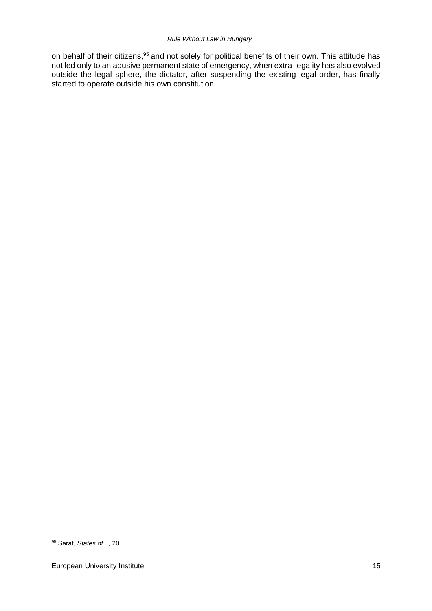on behalf of their citizens, <sup>95</sup> and not solely for political benefits of their own. This attitude has not led only to an abusive permanent state of emergency, when extra-legality has also evolved outside the legal sphere, the dictator, after suspending the existing legal order, has finally started to operate outside his own constitution.

<sup>95</sup> Sarat, *States of...*, 20.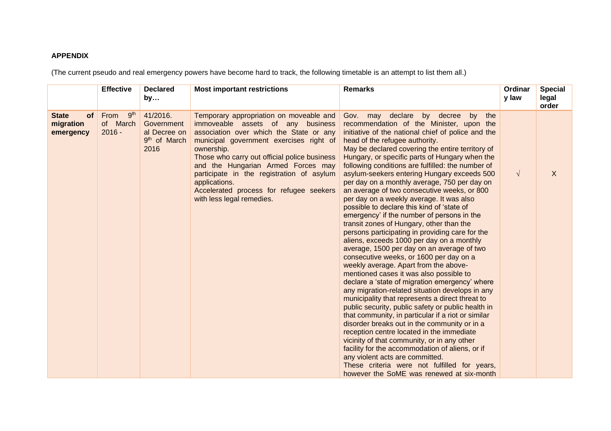#### **APPENDIX**

(The current pseudo and real emergency powers have become hard to track, the following timetable is an attempt to list them all.)

|                                                     | <b>Effective</b>                                | <b>Declared</b><br>by                                                      | <b>Most important restrictions</b>                                                                                                                                                                                                                                                                                                                                                                           | <b>Remarks</b>                                                                                                                                                                                                                                                                                                                                                                                                                                                                                                                                                                                                                                                                                                                                                                                                                                                                                                                                                                                                                                                                                                                                                                                                                                                                                                                                                                                                                                                                                                                                           | Ordinar<br>y law | <b>Special</b><br>legal<br>order |
|-----------------------------------------------------|-------------------------------------------------|----------------------------------------------------------------------------|--------------------------------------------------------------------------------------------------------------------------------------------------------------------------------------------------------------------------------------------------------------------------------------------------------------------------------------------------------------------------------------------------------------|----------------------------------------------------------------------------------------------------------------------------------------------------------------------------------------------------------------------------------------------------------------------------------------------------------------------------------------------------------------------------------------------------------------------------------------------------------------------------------------------------------------------------------------------------------------------------------------------------------------------------------------------------------------------------------------------------------------------------------------------------------------------------------------------------------------------------------------------------------------------------------------------------------------------------------------------------------------------------------------------------------------------------------------------------------------------------------------------------------------------------------------------------------------------------------------------------------------------------------------------------------------------------------------------------------------------------------------------------------------------------------------------------------------------------------------------------------------------------------------------------------------------------------------------------------|------------------|----------------------------------|
| <b>State</b><br><b>of</b><br>migration<br>emergency | 9 <sup>th</sup><br>From<br>of March<br>$2016 -$ | 41/2016.<br>Government<br>al Decree on<br>9 <sup>th</sup> of March<br>2016 | Temporary appropriation on moveable and<br>immoveable assets of any business<br>association over which the State or any<br>municipal government exercises right of<br>ownership.<br>Those who carry out official police business<br>and the Hungarian Armed Forces may<br>participate in the registration of asylum<br>applications.<br>Accelerated process for refugee seekers<br>with less legal remedies. | Gov. may declare<br>by decree<br>by the<br>recommendation of the Minister, upon the<br>initiative of the national chief of police and the<br>head of the refugee authority.<br>May be declared covering the entire territory of<br>Hungary, or specific parts of Hungary when the<br>following conditions are fulfilled: the number of<br>asylum-seekers entering Hungary exceeds 500<br>per day on a monthly average, 750 per day on<br>an average of two consecutive weeks, or 800<br>per day on a weekly average. It was also<br>possible to declare this kind of 'state of<br>emergency' if the number of persons in the<br>transit zones of Hungary, other than the<br>persons participating in providing care for the<br>aliens, exceeds 1000 per day on a monthly<br>average, 1500 per day on an average of two<br>consecutive weeks, or 1600 per day on a<br>weekly average. Apart from the above-<br>mentioned cases it was also possible to<br>declare a 'state of migration emergency' where<br>any migration-related situation develops in any<br>municipality that represents a direct threat to<br>public security, public safety or public health in<br>that community, in particular if a riot or similar<br>disorder breaks out in the community or in a<br>reception centre located in the immediate<br>vicinity of that community, or in any other<br>facility for the accommodation of aliens, or if<br>any violent acts are committed.<br>These criteria were not fulfilled for years,<br>however the SoME was renewed at six-month | $\sqrt{ }$       | X                                |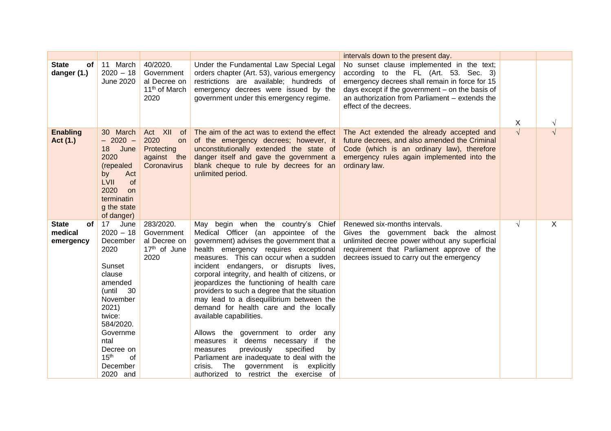|                                            |                                                                                                                                                                                                                                          |                                                                             |                                                                                                                                                                                                                                                                                                                                                                                                                                                                                                                                                                                                                                                                                                                                                                                          | intervals down to the present day.                                                                                                                                                                                                                                    |            |            |
|--------------------------------------------|------------------------------------------------------------------------------------------------------------------------------------------------------------------------------------------------------------------------------------------|-----------------------------------------------------------------------------|------------------------------------------------------------------------------------------------------------------------------------------------------------------------------------------------------------------------------------------------------------------------------------------------------------------------------------------------------------------------------------------------------------------------------------------------------------------------------------------------------------------------------------------------------------------------------------------------------------------------------------------------------------------------------------------------------------------------------------------------------------------------------------------|-----------------------------------------------------------------------------------------------------------------------------------------------------------------------------------------------------------------------------------------------------------------------|------------|------------|
| <b>State</b><br>оf<br>danger (1.)          | 11 March<br>$2020 - 18$<br>June 2020                                                                                                                                                                                                     | 40/2020.<br>Government<br>al Decree on<br>11 <sup>th</sup> of March<br>2020 | Under the Fundamental Law Special Legal<br>orders chapter (Art. 53), various emergency<br>restrictions are available; hundreds of<br>emergency decrees were issued by the<br>government under this emergency regime.                                                                                                                                                                                                                                                                                                                                                                                                                                                                                                                                                                     | No sunset clause implemented in the text;<br>according to the FL (Art. 53. Sec. 3)<br>emergency decrees shall remain in force for 15<br>days except if the government $-$ on the basis of<br>an authorization from Parliament - extends the<br>effect of the decrees. |            |            |
|                                            |                                                                                                                                                                                                                                          |                                                                             |                                                                                                                                                                                                                                                                                                                                                                                                                                                                                                                                                                                                                                                                                                                                                                                          |                                                                                                                                                                                                                                                                       | X          | $\sqrt{}$  |
| <b>Enabling</b><br>Act (1.)                | March<br>30 <sup>°</sup><br>$-2020 -$<br>18<br>June<br>2020<br>(repealed<br>Act<br>by<br><b>LVII</b><br>of<br>2020<br><b>on</b><br>terminatin<br>g the state<br>of danger)                                                               | Act XII<br>of<br>2020<br>on<br>Protecting<br>against the<br>Coronavirus     | The aim of the act was to extend the effect<br>of the emergency decrees; however, it<br>unconstitutionally extended the state of<br>danger itself and gave the government a<br>blank cheque to rule by decrees for an<br>unlimited period.                                                                                                                                                                                                                                                                                                                                                                                                                                                                                                                                               | The Act extended the already accepted and<br>future decrees, and also amended the Criminal<br>Code (which is an ordinary law), therefore<br>emergency rules again implemented into the<br>ordinary law.                                                               | $\sqrt{2}$ | $\sqrt{ }$ |
| <b>State</b><br>of<br>medical<br>emergency | 17 <sup>7</sup><br>June<br>$2020 - 18$<br>December<br>2020<br>Sunset<br>clause<br>amended<br>(until<br>30<br>November<br>2021)<br>twice:<br>584/2020.<br>Governme<br>ntal<br>Decree on<br>15 <sup>th</sup><br>of<br>December<br>2020 and | 283/2020.<br>Government<br>al Decree on<br>17th of June<br>2020             | May begin when the country's Chief<br>Medical Officer (an appointee of the<br>government) advises the government that a<br>health emergency requires exceptional<br>measures. This can occur when a sudden<br>incident endangers, or disrupts lives,<br>corporal integrity, and health of citizens, or<br>jeopardizes the functioning of health care<br>providers to such a degree that the situation<br>may lead to a disequilibrium between the<br>demand for health care and the locally<br>available capabilities.<br>Allows the government to order any<br>measures it deems necessary if<br>the<br>previously<br>specified<br>measures<br>by<br>Parliament are inadequate to deal with the<br>The<br>government is explicitly<br>crisis.<br>authorized to restrict the exercise of | Renewed six-months intervals.<br>Gives the government back the almost<br>unlimited decree power without any superficial<br>requirement that Parliament approve of the<br>decrees issued to carry out the emergency                                                    | $\sqrt{ }$ | X          |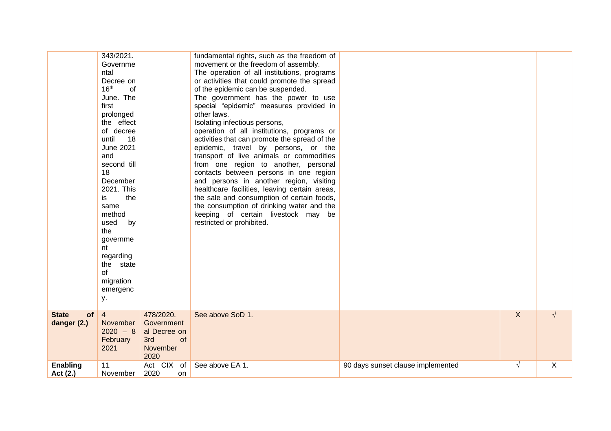|                                   | 343/2021.<br>Governme<br>ntal<br>Decree on<br>16 <sup>th</sup><br>of<br>June. The<br>first<br>prolonged<br>the effect<br>of decree<br>until<br>18<br><b>June 2021</b><br>and<br>second till<br>18<br>December<br>2021. This<br>is<br>the<br>same<br>method<br>by<br>used<br>the<br>governme<br>nt<br>regarding<br>the state<br>of<br>migration<br>emergenc<br>у. |                                                                          | fundamental rights, such as the freedom of<br>movement or the freedom of assembly.<br>The operation of all institutions, programs<br>or activities that could promote the spread<br>of the epidemic can be suspended.<br>The government has the power to use<br>special "epidemic" measures provided in<br>other laws.<br>Isolating infectious persons,<br>operation of all institutions, programs or<br>activities that can promote the spread of the<br>epidemic, travel by persons, or the<br>transport of live animals or commodities<br>from one region to another, personal<br>contacts between persons in one region<br>and persons in another region, visiting<br>healthcare facilities, leaving certain areas,<br>the sale and consumption of certain foods,<br>the consumption of drinking water and the<br>keeping of certain livestock may be<br>restricted or prohibited. |                                   |              |            |
|-----------------------------------|------------------------------------------------------------------------------------------------------------------------------------------------------------------------------------------------------------------------------------------------------------------------------------------------------------------------------------------------------------------|--------------------------------------------------------------------------|----------------------------------------------------------------------------------------------------------------------------------------------------------------------------------------------------------------------------------------------------------------------------------------------------------------------------------------------------------------------------------------------------------------------------------------------------------------------------------------------------------------------------------------------------------------------------------------------------------------------------------------------------------------------------------------------------------------------------------------------------------------------------------------------------------------------------------------------------------------------------------------|-----------------------------------|--------------|------------|
| <b>State</b><br>of<br>danger (2.) | $\overline{4}$<br>November<br>$2020 - 8$<br>February<br>2021                                                                                                                                                                                                                                                                                                     | 478/2020.<br>Government<br>al Decree on<br>3rd<br>of<br>November<br>2020 | See above SoD 1.                                                                                                                                                                                                                                                                                                                                                                                                                                                                                                                                                                                                                                                                                                                                                                                                                                                                       |                                   | $\mathsf{X}$ | $\sqrt{ }$ |
| <b>Enabling</b><br>Act (2.)       | 11<br>November                                                                                                                                                                                                                                                                                                                                                   | Act $CIX$ of<br>2020<br>on.                                              | See above EA 1.                                                                                                                                                                                                                                                                                                                                                                                                                                                                                                                                                                                                                                                                                                                                                                                                                                                                        | 90 days sunset clause implemented | $\sqrt{ }$   | X          |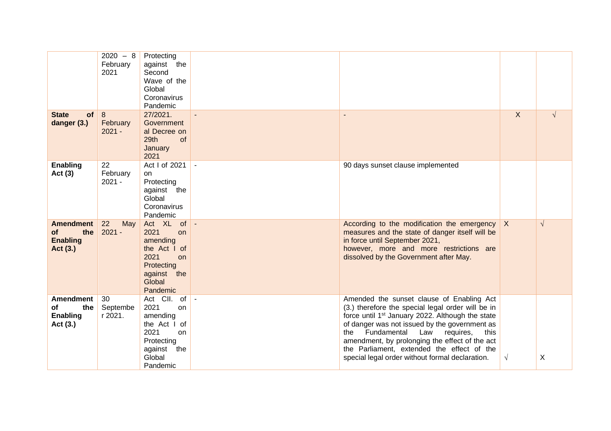|                                                              | $2020 - 8$<br>February<br>2021 | Protecting<br>against the<br>Second<br>Wave of the<br>Global<br>Coronavirus<br>Pandemic                                |              |                                                                                                                                                                                                                                                                                                                                                                                                                      |              |            |
|--------------------------------------------------------------|--------------------------------|------------------------------------------------------------------------------------------------------------------------|--------------|----------------------------------------------------------------------------------------------------------------------------------------------------------------------------------------------------------------------------------------------------------------------------------------------------------------------------------------------------------------------------------------------------------------------|--------------|------------|
| <b>State</b><br><b>of</b><br>danger (3.)                     | 8<br>February<br>$2021 -$      | 27/2021.<br>Government<br>al Decree on<br>29th<br>of<br>January<br>2021                                                |              |                                                                                                                                                                                                                                                                                                                                                                                                                      | $\mathsf{X}$ | $\sqrt{ }$ |
| <b>Enabling</b><br>Act $(3)$                                 | 22<br>February<br>$2021 -$     | Act I of 2021<br>on<br>Protecting<br>against the<br>Global<br>Coronavirus<br>Pandemic                                  | $\mathbf{u}$ | 90 days sunset clause implemented                                                                                                                                                                                                                                                                                                                                                                                    |              |            |
| <b>Amendment</b><br>the<br>of<br><b>Enabling</b><br>Act (3.) | 22<br>May<br>$2021 -$          | Act XL of<br>2021<br>on<br>amending<br>the Act I of<br>2021<br>on<br>Protecting<br>against the<br>Global<br>Pandemic   | $\sim$       | According to the modification the emergency<br>measures and the state of danger itself will be<br>in force until September 2021,<br>however, more and more restrictions are<br>dissolved by the Government after May.                                                                                                                                                                                                | $\mathsf{X}$ | $\sqrt{ }$ |
| <b>Amendment</b><br>the<br>of<br><b>Enabling</b><br>Act (3.) | 30<br>Septembe<br>r 2021.      | Act CII. of<br>2021<br>on<br>amending<br>the Act I of<br>2021<br>on<br>Protecting<br>against the<br>Global<br>Pandemic | $\sim$       | Amended the sunset clause of Enabling Act<br>(3.) therefore the special legal order will be in<br>force until 1 <sup>st</sup> January 2022. Although the state<br>of danger was not issued by the government as<br>Fundamental<br>the<br>Law<br>requires,<br>this<br>amendment, by prolonging the effect of the act<br>the Parliament, extended the effect of the<br>special legal order without formal declaration. | $\sqrt{ }$   | X          |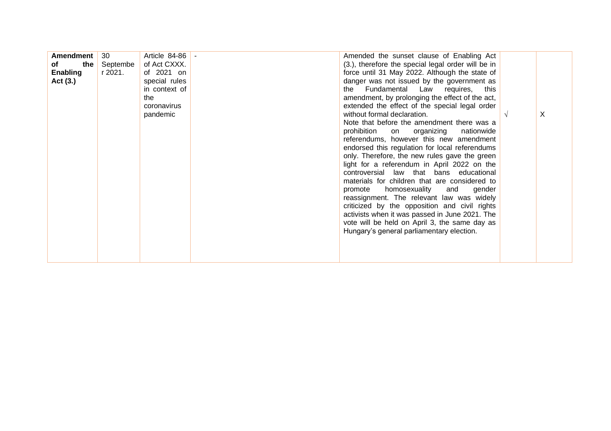| Amendment<br>the $ $<br>of<br>Enabling<br>Act (3.) | 30<br>Septembe<br>r 2021. | Article 84-86 -<br>of Act CXXX.<br>of 2021 on<br>special rules<br>in context of<br>the<br>coronavirus<br>pandemic |  | Amended the sunset clause of Enabling Act<br>(3.), therefore the special legal order will be in<br>force until 31 May 2022. Although the state of<br>danger was not issued by the government as<br>the Fundamental Law requires, this<br>amendment, by prolonging the effect of the act,<br>extended the effect of the special legal order<br>without formal declaration.<br>Note that before the amendment there was a<br>prohibition<br>on organizing<br>nationwide<br>referendums, however this new amendment<br>endorsed this regulation for local referendums<br>only. Therefore, the new rules gave the green<br>light for a referendum in April 2022 on the<br>controversial law that bans educational<br>materials for children that are considered to<br>promote homosexuality<br>gender<br>and<br>reassignment. The relevant law was widely<br>criticized by the opposition and civil rights<br>activists when it was passed in June 2021. The<br>vote will be held on April 3, the same day as<br>Hungary's general parliamentary election. |  | X |
|----------------------------------------------------|---------------------------|-------------------------------------------------------------------------------------------------------------------|--|--------------------------------------------------------------------------------------------------------------------------------------------------------------------------------------------------------------------------------------------------------------------------------------------------------------------------------------------------------------------------------------------------------------------------------------------------------------------------------------------------------------------------------------------------------------------------------------------------------------------------------------------------------------------------------------------------------------------------------------------------------------------------------------------------------------------------------------------------------------------------------------------------------------------------------------------------------------------------------------------------------------------------------------------------------|--|---|
|----------------------------------------------------|---------------------------|-------------------------------------------------------------------------------------------------------------------|--|--------------------------------------------------------------------------------------------------------------------------------------------------------------------------------------------------------------------------------------------------------------------------------------------------------------------------------------------------------------------------------------------------------------------------------------------------------------------------------------------------------------------------------------------------------------------------------------------------------------------------------------------------------------------------------------------------------------------------------------------------------------------------------------------------------------------------------------------------------------------------------------------------------------------------------------------------------------------------------------------------------------------------------------------------------|--|---|